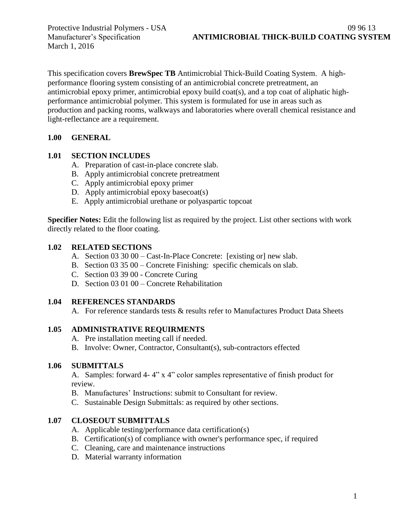March 1, 2016

This specification covers **BrewSpec TB** Antimicrobial Thick-Build Coating System. A highperformance flooring system consisting of an antimicrobial concrete pretreatment, an antimicrobial epoxy primer, antimicrobial epoxy build coat(s), and a top coat of aliphatic highperformance antimicrobial polymer. This system is formulated for use in areas such as production and packing rooms, walkways and laboratories where overall chemical resistance and light-reflectance are a requirement.

#### **1.00 GENERAL**

#### **1.01 SECTION INCLUDES**

- A. Preparation of cast-in-place concrete slab.
- B. Apply antimicrobial concrete pretreatment
- C. Apply antimicrobial epoxy primer
- D. Apply antimicrobial epoxy basecoat(s)
- E. Apply antimicrobial urethane or polyaspartic topcoat

**Specifier Notes:** Edit the following list as required by the project. List other sections with work directly related to the floor coating.

#### **1.02 RELATED SECTIONS**

- A. Section 03 30 00 Cast-In-Place Concrete: [existing or] new slab.
- B. Section 03 35 00 Concrete Finishing: specific chemicals on slab.
- C. Section 03 39 00 Concrete Curing
- D. Section 03 01 00 Concrete Rehabilitation

#### **1.04 REFERENCES STANDARDS**

A. For reference standards tests & results refer to Manufactures Product Data Sheets

#### **1.05 ADMINISTRATIVE REQUIRMENTS**

- A. Pre installation meeting call if needed.
- B. Involve: Owner, Contractor, Consultant(s), sub-contractors effected

#### **1.06 SUBMITTALS**

A. Samples: forward 4- 4" x 4" color samples representative of finish product for review.

- B. Manufactures' Instructions: submit to Consultant for review.
- C. Sustainable Design Submittals: as required by other sections.

#### **1.07 CLOSEOUT SUBMITTALS**

- A. Applicable testing/performance data certification(s)
- B. Certification(s) of compliance with owner's performance spec, if required
- C. Cleaning, care and maintenance instructions
- D. Material warranty information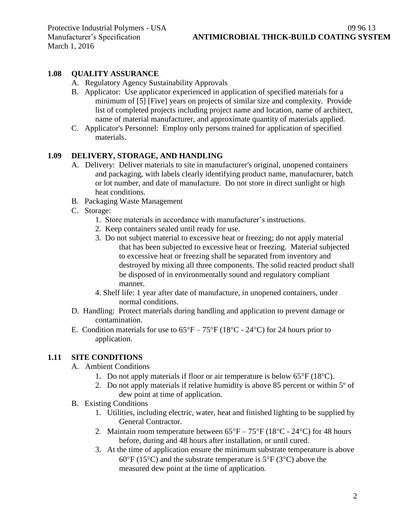March 1, 2016

## **1.08 QUALITY ASSURANCE**

- A. Regulatory Agency Sustainability Approvals
- B. Applicator: Use applicator experienced in application of specified materials for a minimum of [5] [Five] years on projects of similar size and complexity. Provide list of completed projects including project name and location, name of architect, name of material manufacturer, and approximate quantity of materials applied.
- C. Applicator's Personnel: Employ only persons trained for application of specified materials.

#### **1.09 DELIVERY, STORAGE, AND HANDLING**

- A. Delivery: Deliver materials to site in manufacturer's original, unopened containers and packaging, with labels clearly identifying product name, manufacturer, batch or lot number, and date of manufacture. Do not store in direct sunlight or high heat conditions.
- B. Packaging Waste Management
- C. Storage:
	- 1. Store materials in accordance with manufacturer's instructions.
	- 2. Keep containers sealed until ready for use.
	- 3. Do not subject material to excessive heat or freezing; do not apply material that has been subjected to excessive heat or freezing. Material subjected to excessive heat or freezing shall be separated from inventory and destroyed by mixing all three components. The solid reacted product shall be disposed of in environmentally sound and regulatory compliant manner.
	- 4. Shelf life: 1 year after date of manufacture, in unopened containers, under normal conditions.
- D. Handling: Protect materials during handling and application to prevent damage or contamination.
- E. Condition materials for use to  $65^{\circ}F 75^{\circ}F (18^{\circ}C 24^{\circ}C)$  for 24 hours prior to application.

## **1.11 SITE CONDITIONS**

- A. Ambient Conditions
	- 1. Do not apply materials if floor or air temperature is below  $65^{\circ}F(18^{\circ}C)$ .
	- 2. Do not apply materials if relative humidity is above 85 percent or within 5º of dew point at time of application.
- B. Existing Conditions
	- 1. Utilities, including electric, water, heat and finished lighting to be supplied by General Contractor.
	- 2. Maintain room temperature between  $65^{\circ}F 75^{\circ}F (18^{\circ}C 24^{\circ}C)$  for 48 hours before, during and 48 hours after installation, or until cured.
	- 3. At the time of application ensure the minimum substrate temperature is above  $60^{\circ}$ F (15<sup>o</sup>C) and the substrate temperature is 5<sup>o</sup>F (3<sup>o</sup>C) above the measured dew point at the time of application.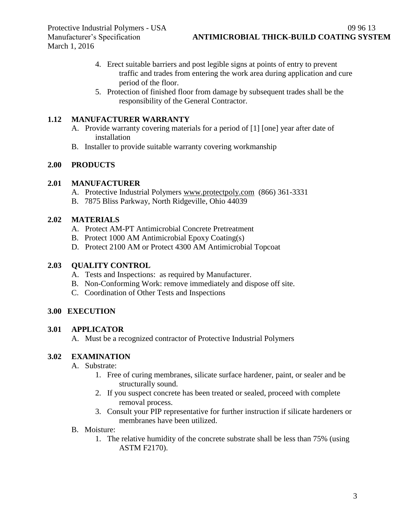- 4. Erect suitable barriers and post legible signs at points of entry to prevent traffic and trades from entering the work area during application and cure period of the floor.
- 5. Protection of finished floor from damage by subsequent trades shall be the responsibility of the General Contractor.

## **1.12 MANUFACTURER WARRANTY**

- A. Provide warranty covering materials for a period of [1] [one] year after date of installation
- B. Installer to provide suitable warranty covering workmanship

#### **2.00 PRODUCTS**

#### **2.01 MANUFACTURER**

- A. Protective Industrial Polymers [www.protectpoly.com](http://www.protectpoly.com/) (866) 361-3331
- B. 7875 Bliss Parkway, North Ridgeville, Ohio 44039

#### **2.02 MATERIALS**

- A. Protect AM-PT Antimicrobial Concrete Pretreatment
- B. Protect 1000 AM Antimicrobial Epoxy Coating(s)
- D. Protect 2100 AM or Protect 4300 AM Antimicrobial Topcoat

## **2.03 QUALITY CONTROL**

- A. Tests and Inspections: as required by Manufacturer.
- B. Non-Conforming Work: remove immediately and dispose off site.
- C. Coordination of Other Tests and Inspections

## **3.00 EXECUTION**

#### **3.01 APPLICATOR**

A. Must be a recognized contractor of Protective Industrial Polymers

#### **3.02 EXAMINATION**

- A. Substrate:
	- 1. Free of curing membranes, silicate surface hardener, paint, or sealer and be structurally sound.
	- 2. If you suspect concrete has been treated or sealed, proceed with complete removal process.
	- 3. Consult your PIP representative for further instruction if silicate hardeners or membranes have been utilized.
- B. Moisture:
	- 1. The relative humidity of the concrete substrate shall be less than 75% (using ASTM F2170).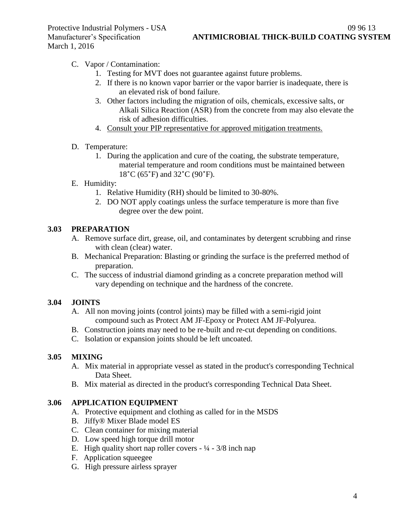- C. Vapor / Contamination:
	- 1. Testing for MVT does not guarantee against future problems.
	- 2. If there is no known vapor barrier or the vapor barrier is inadequate, there is an elevated risk of bond failure.
	- 3. Other factors including the migration of oils, chemicals, excessive salts, or Alkali Silica Reaction (ASR) from the concrete from may also elevate the risk of adhesion difficulties.
	- 4. Consult your PIP representative for approved mitigation treatments.
- D. Temperature:
	- 1. During the application and cure of the coating, the substrate temperature, material temperature and room conditions must be maintained between 18˚C (65˚F) and 32˚C (90˚F).
- E. Humidity:
	- 1. Relative Humidity (RH) should be limited to 30-80%.
	- 2. DO NOT apply coatings unless the surface temperature is more than five degree over the dew point.

## **3.03 PREPARATION**

- A. Remove surface dirt, grease, oil, and contaminates by detergent scrubbing and rinse with clean (clear) water.
- B. Mechanical Preparation: Blasting or grinding the surface is the preferred method of preparation.
- C. The success of industrial diamond grinding as a concrete preparation method will vary depending on technique and the hardness of the concrete.

## **3.04 JOINTS**

- A. All non moving joints (control joints) may be filled with a semi-rigid joint compound such as Protect AM JF-Epoxy or Protect AM JF-Polyurea.
- B. Construction joints may need to be re-built and re-cut depending on conditions.
- C. Isolation or expansion joints should be left uncoated.

## **3.05 MIXING**

- A. Mix material in appropriate vessel as stated in the product's corresponding Technical Data Sheet.
- B. Mix material as directed in the product's corresponding Technical Data Sheet.

## **3.06 APPLICATION EQUIPMENT**

- A. Protective equipment and clothing as called for in the MSDS
- B. Jiffy® Mixer Blade model ES
- C. Clean container for mixing material
- D. Low speed high torque drill motor
- E. High quality short nap roller covers  $\frac{1}{4} \frac{3}{8}$  inch nap
- F. Application squeegee
- G. High pressure airless sprayer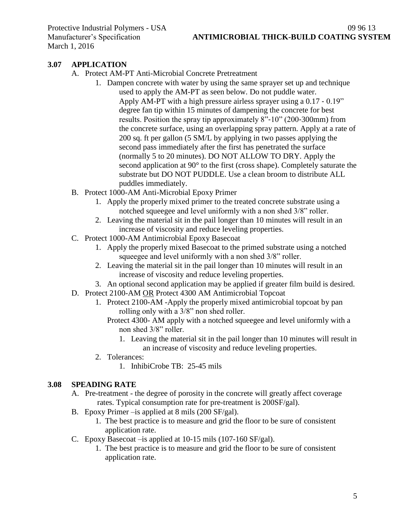## **3.07 APPLICATION**

- A. Protect AM-PT Anti-Microbial Concrete Pretreatment
	- 1. Dampen concrete with water by using the same sprayer set up and technique used to apply the AM-PT as seen below. Do not puddle water. Apply AM-PT with a high pressure airless sprayer using a 0.17 ‐ 0.19" degree fan tip within 15 minutes of dampening the concrete for best results. Position the spray tip approximately 8"‐10" (200‐300mm) from the concrete surface, using an overlapping spray pattern. Apply at a rate of 200 sq. ft per gallon (5 SM/L by applying in two passes applying the second pass immediately after the first has penetrated the surface (normally 5 to 20 minutes). DO NOT ALLOW TO DRY. Apply the second application at 90° to the first (cross shape). Completely saturate the substrate but DO NOT PUDDLE. Use a clean broom to distribute ALL puddles immediately.
- B. Protect 1000-AM Anti-Microbial Epoxy Primer
	- 1. Apply the properly mixed primer to the treated concrete substrate using a notched squeegee and level uniformly with a non shed 3/8" roller.
	- 2. Leaving the material sit in the pail longer than 10 minutes will result in an increase of viscosity and reduce leveling properties.
- C. Protect 1000-AM Antimicrobial Epoxy Basecoat
	- 1. Apply the properly mixed Basecoat to the primed substrate using a notched squeegee and level uniformly with a non shed 3/8" roller.
	- 2. Leaving the material sit in the pail longer than 10 minutes will result in an increase of viscosity and reduce leveling properties.
	- 3. An optional second application may be applied if greater film build is desired.
- D. Protect 2100-AM OR Protect 4300 AM Antimicrobial Topcoat
	- 1. Protect 2100-AM -Apply the properly mixed antimicrobial topcoat by pan rolling only with a 3/8" non shed roller.
		- Protect 4300- AM apply with a notched squeegee and level uniformly with a non shed 3/8" roller.
			- 1. Leaving the material sit in the pail longer than 10 minutes will result in an increase of viscosity and reduce leveling properties.
	- 2. Tolerances:
		- 1. InhibiCrobe TB: 25-45 mils

#### **3.08 SPEADING RATE**

- A. Pre-treatment the degree of porosity in the concrete will greatly affect coverage rates. Typical consumption rate for pre-treatment is 200SF/gal).
- B. Epoxy Primer –is applied at 8 mils (200 SF/gal).
	- 1. The best practice is to measure and grid the floor to be sure of consistent application rate.
- C. Epoxy Basecoat –is applied at 10-15 mils (107-160 SF/gal).
	- 1. The best practice is to measure and grid the floor to be sure of consistent application rate.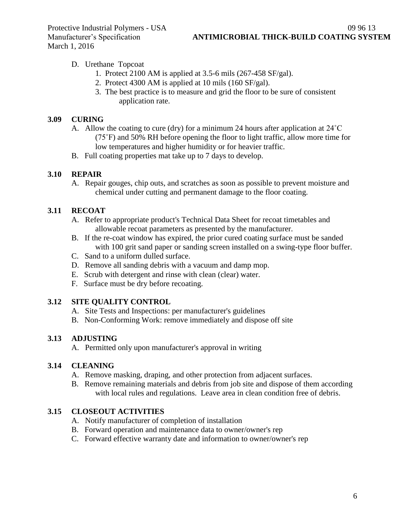- D. Urethane Topcoat
	- 1. Protect 2100 AM is applied at 3.5-6 mils (267-458 SF/gal).
	- 2. Protect 4300 AM is applied at 10 mils (160 SF/gal).
	- 3. The best practice is to measure and grid the floor to be sure of consistent application rate.

## **3.09 CURING**

- A. Allow the coating to cure (dry) for a minimum 24 hours after application at 24˚C (75˚F) and 50% RH before opening the floor to light traffic, allow more time for low temperatures and higher humidity or for heavier traffic.
- B. Full coating properties mat take up to 7 days to develop.

# **3.10 REPAIR**

A. Repair gouges, chip outs, and scratches as soon as possible to prevent moisture and chemical under cutting and permanent damage to the floor coating.

# **3.11 RECOAT**

- A. Refer to appropriate product's Technical Data Sheet for recoat timetables and allowable recoat parameters as presented by the manufacturer.
- B. If the re-coat window has expired, the prior cured coating surface must be sanded with 100 grit sand paper or sanding screen installed on a swing-type floor buffer.
- C. Sand to a uniform dulled surface.
- D. Remove all sanding debris with a vacuum and damp mop.
- E. Scrub with detergent and rinse with clean (clear) water.
- F. Surface must be dry before recoating.

# **3.12 SITE QUALITY CONTROL**

- A. Site Tests and Inspections: per manufacturer's guidelines
- B. Non-Conforming Work: remove immediately and dispose off site

# **3.13 ADJUSTING**

A. Permitted only upon manufacturer's approval in writing

# **3.14 CLEANING**

- A. Remove masking, draping, and other protection from adjacent surfaces.
- B. Remove remaining materials and debris from job site and dispose of them according with local rules and regulations. Leave area in clean condition free of debris.

# **3.15 CLOSEOUT ACTIVITIES**

- A. Notify manufacturer of completion of installation
- B. Forward operation and maintenance data to owner/owner's rep
- C. Forward effective warranty date and information to owner/owner's rep